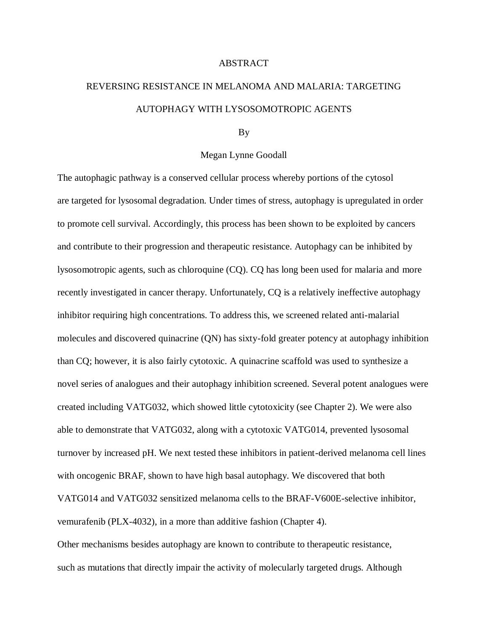## ABSTRACT

## REVERSING RESISTANCE IN MELANOMA AND MALARIA: TARGETING AUTOPHAGY WITH LYSOSOMOTROPIC AGENTS

## By

## Megan Lynne Goodall

The autophagic pathway is a conserved cellular process whereby portions of the cytosol are targeted for lysosomal degradation. Under times of stress, autophagy is upregulated in order to promote cell survival. Accordingly, this process has been shown to be exploited by cancers and contribute to their progression and therapeutic resistance. Autophagy can be inhibited by lysosomotropic agents, such as chloroquine (CQ). CQ has long been used for malaria and more recently investigated in cancer therapy. Unfortunately, CQ is a relatively ineffective autophagy inhibitor requiring high concentrations. To address this, we screened related anti-malarial molecules and discovered quinacrine (QN) has sixty-fold greater potency at autophagy inhibition than CQ; however, it is also fairly cytotoxic. A quinacrine scaffold was used to synthesize a novel series of analogues and their autophagy inhibition screened. Several potent analogues were created including VATG032, which showed little cytotoxicity (see Chapter 2). We were also able to demonstrate that VATG032, along with a cytotoxic VATG014, prevented lysosomal turnover by increased pH. We next tested these inhibitors in patient-derived melanoma cell lines with oncogenic BRAF, shown to have high basal autophagy. We discovered that both VATG014 and VATG032 sensitized melanoma cells to the BRAF-V600E-selective inhibitor, vemurafenib (PLX-4032), in a more than additive fashion (Chapter 4).

Other mechanisms besides autophagy are known to contribute to therapeutic resistance, such as mutations that directly impair the activity of molecularly targeted drugs. Although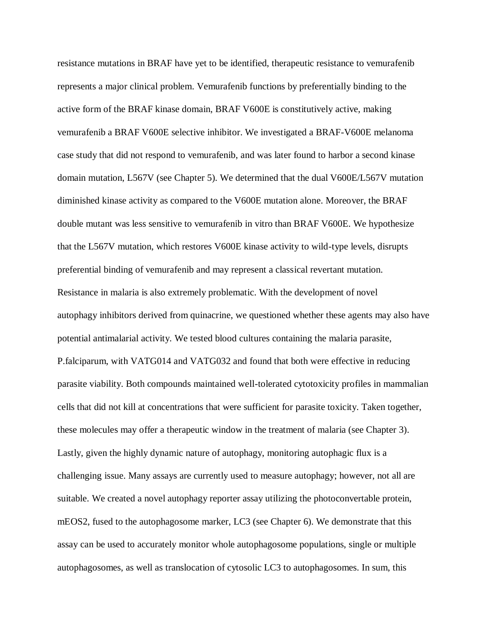resistance mutations in BRAF have yet to be identified, therapeutic resistance to vemurafenib represents a major clinical problem. Vemurafenib functions by preferentially binding to the active form of the BRAF kinase domain, BRAF V600E is constitutively active, making vemurafenib a BRAF V600E selective inhibitor. We investigated a BRAF-V600E melanoma case study that did not respond to vemurafenib, and was later found to harbor a second kinase domain mutation, L567V (see Chapter 5). We determined that the dual V600E/L567V mutation diminished kinase activity as compared to the V600E mutation alone. Moreover, the BRAF double mutant was less sensitive to vemurafenib in vitro than BRAF V600E. We hypothesize that the L567V mutation, which restores V600E kinase activity to wild-type levels, disrupts preferential binding of vemurafenib and may represent a classical revertant mutation. Resistance in malaria is also extremely problematic. With the development of novel autophagy inhibitors derived from quinacrine, we questioned whether these agents may also have potential antimalarial activity. We tested blood cultures containing the malaria parasite, P.falciparum, with VATG014 and VATG032 and found that both were effective in reducing parasite viability. Both compounds maintained well-tolerated cytotoxicity profiles in mammalian cells that did not kill at concentrations that were sufficient for parasite toxicity. Taken together, these molecules may offer a therapeutic window in the treatment of malaria (see Chapter 3). Lastly, given the highly dynamic nature of autophagy, monitoring autophagic flux is a challenging issue. Many assays are currently used to measure autophagy; however, not all are suitable. We created a novel autophagy reporter assay utilizing the photoconvertable protein, mEOS2, fused to the autophagosome marker, LC3 (see Chapter 6). We demonstrate that this assay can be used to accurately monitor whole autophagosome populations, single or multiple autophagosomes, as well as translocation of cytosolic LC3 to autophagosomes. In sum, this